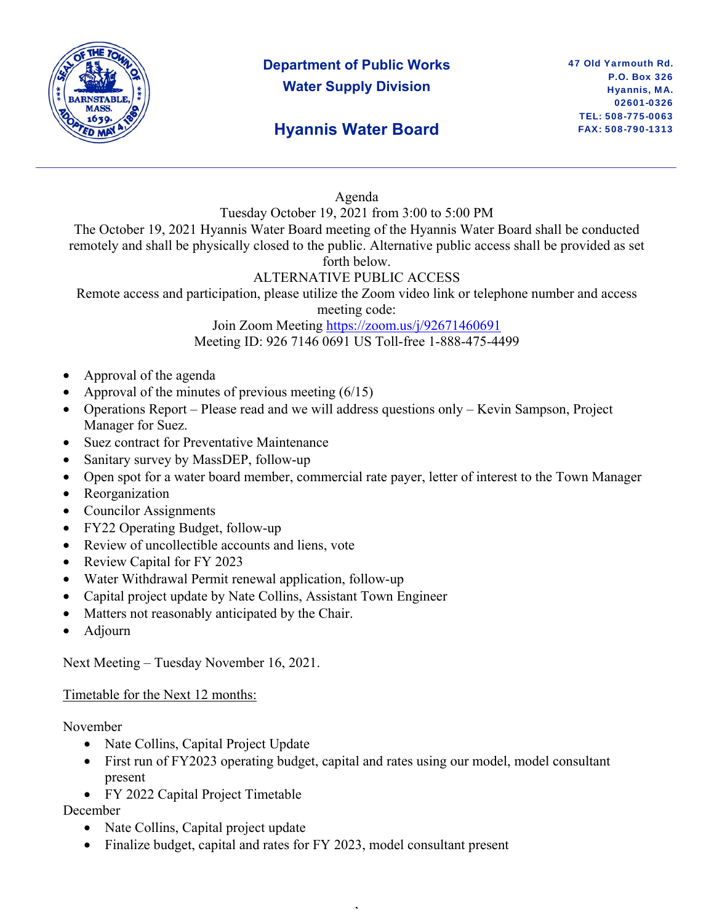

## **Department of Public Works Water Supply Division**

#### Agenda

Tuesday October 19, 2021 from 3:00 to 5:00 PM

The October 19, 2021 Hyannis Water Board meeting of the Hyannis Water Board shall be conducted remotely and shall be physically closed to the public. Alternative public access shall be provided as set forth below.

### ALTERNATIVE PUBLIC ACCESS

Remote access and participation, please utilize the Zoom video link or telephone number and access

meeting code:

Join Zoom Meeting https://zoom.us/j/92671460691 Meeting ID: 926 7146 0691 US Toll-free 1-888-475-4499

- Approval of the agenda
- Approval of the minutes of previous meeting  $(6/15)$
- Operations Report Please read and we will address questions only Kevin Sampson, Project Manager for Suez.
- Suez contract for Preventative Maintenance
- Sanitary survey by MassDEP, follow-up
- Open spot for a water board member, commercial rate payer, letter of interest to the Town Manager
- Reorganization
- Councilor Assignments
- FY22 Operating Budget, follow-up
- Review of uncollectible accounts and liens, vote
- Review Capital for FY 2023
- Water Withdrawal Permit renewal application, follow-up
- Capital project update by Nate Collins, Assistant Town Engineer
- Matters not reasonably anticipated by the Chair.
- Adjourn

Next Meeting – Tuesday November 16, 2021.

#### Timetable for the Next 12 months:

November

- Nate Collins, Capital Project Update
- First run of FY2023 operating budget, capital and rates using our model, model consultant present

,

• FY 2022 Capital Project Timetable

December

- Nate Collins, Capital project update
- Finalize budget, capital and rates for FY 2023, model consultant present